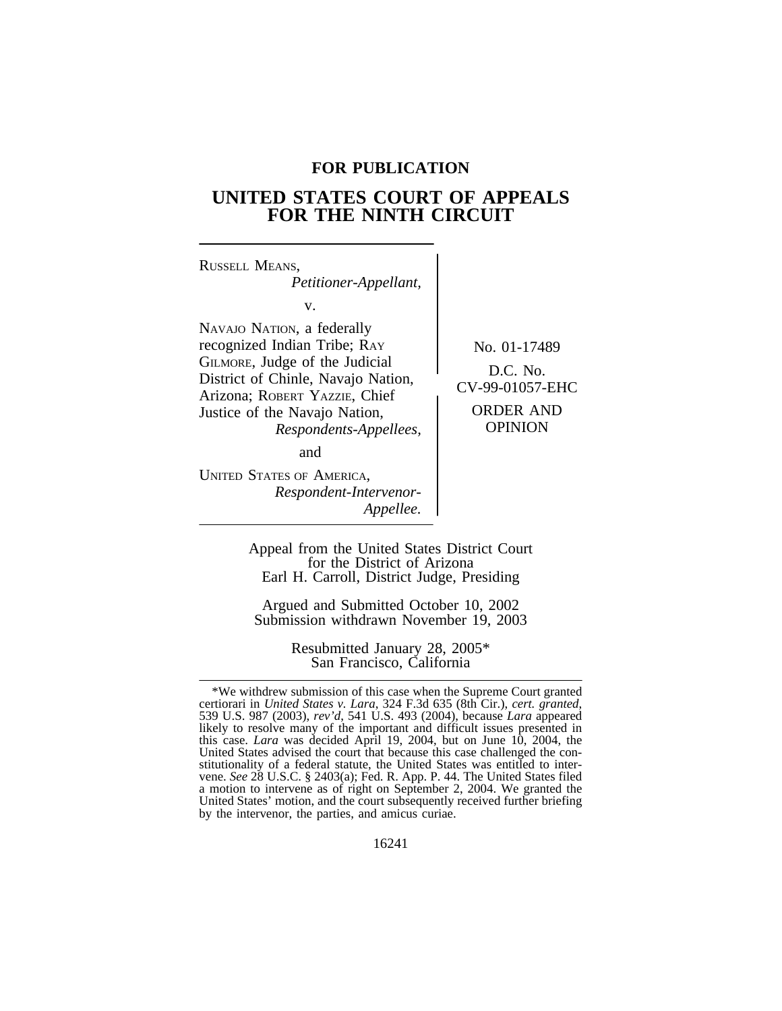# **FOR PUBLICATION**

# **UNITED STATES COURT OF APPEALS FOR THE NINTH CIRCUIT**

| RUSSELL MEANS,<br>Petitioner-Appellant,                                                                                                                                                                                              |                                                                                     |
|--------------------------------------------------------------------------------------------------------------------------------------------------------------------------------------------------------------------------------------|-------------------------------------------------------------------------------------|
| V.<br>NAVAJO NATION, a federally<br>recognized Indian Tribe; RAY<br>GILMORE, Judge of the Judicial<br>District of Chinle, Navajo Nation,<br>Arizona; ROBERT YAZZIE, Chief<br>Justice of the Navajo Nation,<br>Respondents-Appellees, | No. 01-17489<br>$D.C.$ No.<br>CV-99-01057-EHC<br><b>ORDER AND</b><br><b>OPINION</b> |
| and<br><b>UNITED STATES OF AMERICA,</b><br>Respondent-Intervenor-<br>Appellee.                                                                                                                                                       |                                                                                     |

Appeal from the United States District Court for the District of Arizona Earl H. Carroll, District Judge, Presiding

Argued and Submitted October 10, 2002 Submission withdrawn November 19, 2003

> Resubmitted January 28, 2005\* San Francisco, California

<sup>\*</sup>We withdrew submission of this case when the Supreme Court granted certiorari in *United States v. Lara*, 324 F.3d 635 (8th Cir.), *cert. granted*, 539 U.S. 987 (2003), *rev'd*, 541 U.S. 493 (2004), because *Lara* appeared likely to resolve many of the important and difficult issues presented in this case. *Lara* was decided April 19, 2004, but on June 10, 2004, the United States advised the court that because this case challenged the constitutionality of a federal statute, the United States was entitled to intervene. *See* 28 U.S.C. § 2403(a); Fed. R. App. P. 44. The United States filed a motion to intervene as of right on September 2, 2004. We granted the United States' motion, and the court subsequently received further briefing by the intervenor, the parties, and amicus curiae.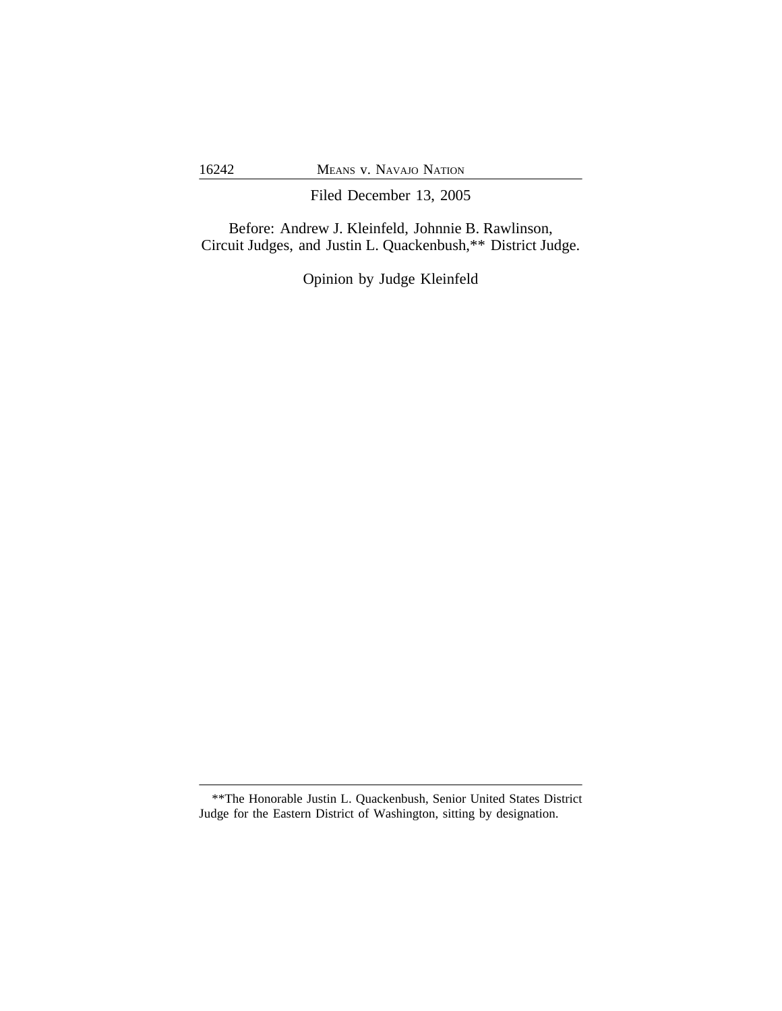Filed December 13, 2005

Before: Andrew J. Kleinfeld, Johnnie B. Rawlinson, Circuit Judges, and Justin L. Quackenbush,\*\* District Judge.

Opinion by Judge Kleinfeld

<sup>\*\*</sup>The Honorable Justin L. Quackenbush, Senior United States District Judge for the Eastern District of Washington, sitting by designation.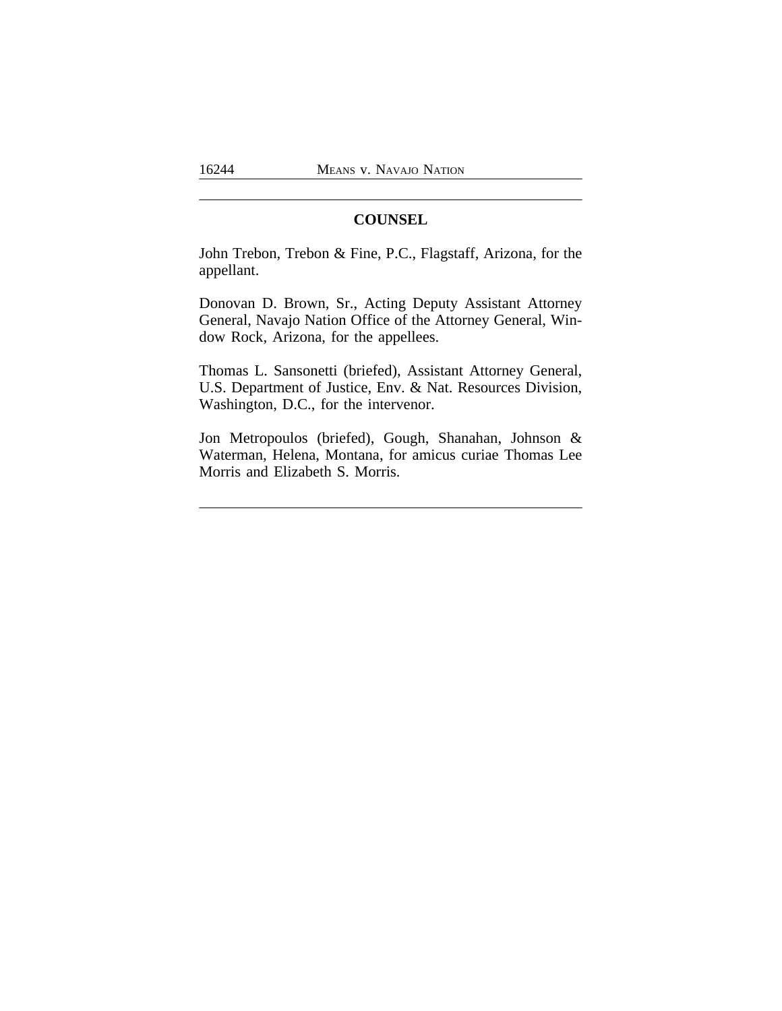# **COUNSEL**

John Trebon, Trebon & Fine, P.C., Flagstaff, Arizona, for the appellant.

Donovan D. Brown, Sr., Acting Deputy Assistant Attorney General, Navajo Nation Office of the Attorney General, Window Rock, Arizona, for the appellees.

Thomas L. Sansonetti (briefed), Assistant Attorney General, U.S. Department of Justice, Env. & Nat. Resources Division, Washington, D.C., for the intervenor.

Jon Metropoulos (briefed), Gough, Shanahan, Johnson & Waterman, Helena, Montana, for amicus curiae Thomas Lee Morris and Elizabeth S. Morris.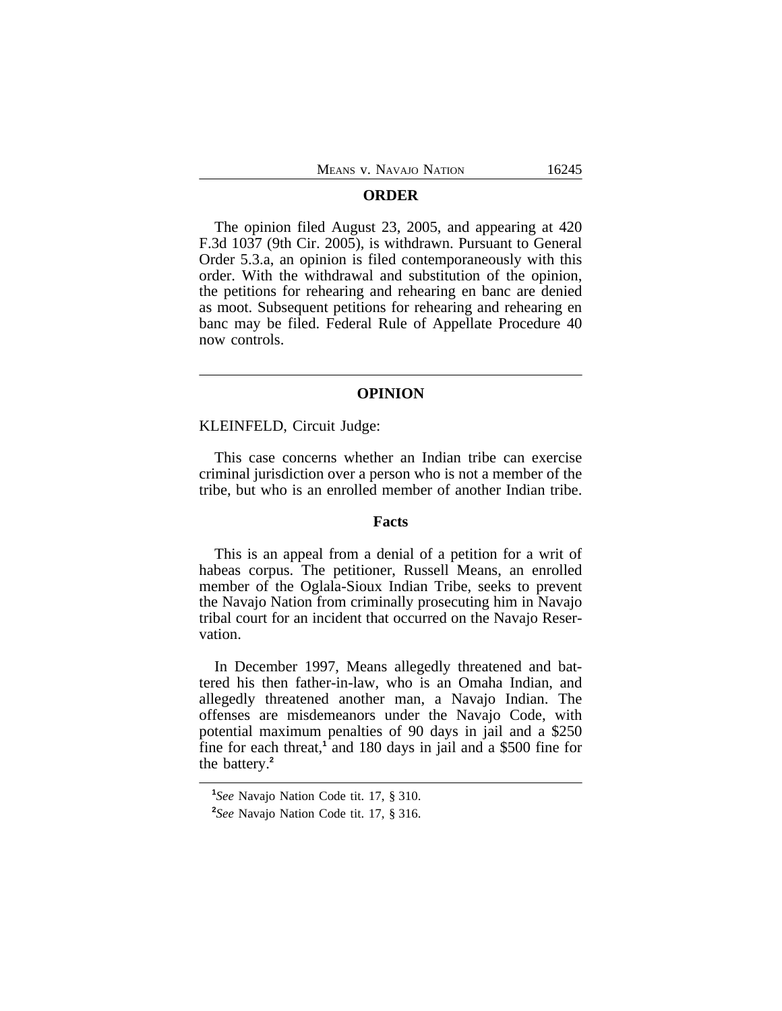#### **ORDER**

The opinion filed August 23, 2005, and appearing at 420 F.3d 1037 (9th Cir. 2005), is withdrawn. Pursuant to General Order 5.3.a, an opinion is filed contemporaneously with this order. With the withdrawal and substitution of the opinion, the petitions for rehearing and rehearing en banc are denied as moot. Subsequent petitions for rehearing and rehearing en banc may be filed. Federal Rule of Appellate Procedure 40 now controls.

# **OPINION**

KLEINFELD, Circuit Judge:

This case concerns whether an Indian tribe can exercise criminal jurisdiction over a person who is not a member of the tribe, but who is an enrolled member of another Indian tribe.

### **Facts**

This is an appeal from a denial of a petition for a writ of habeas corpus. The petitioner, Russell Means, an enrolled member of the Oglala-Sioux Indian Tribe, seeks to prevent the Navajo Nation from criminally prosecuting him in Navajo tribal court for an incident that occurred on the Navajo Reservation.

In December 1997, Means allegedly threatened and battered his then father-in-law, who is an Omaha Indian, and allegedly threatened another man, a Navajo Indian. The offenses are misdemeanors under the Navajo Code, with potential maximum penalties of 90 days in jail and a \$250 fine for each threat,<sup>1</sup> and 180 days in jail and a \$500 fine for the battery.**<sup>2</sup>**

**<sup>1</sup>** *See* Navajo Nation Code tit. 17, § 310.

**<sup>2</sup>** *See* Navajo Nation Code tit. 17, § 316.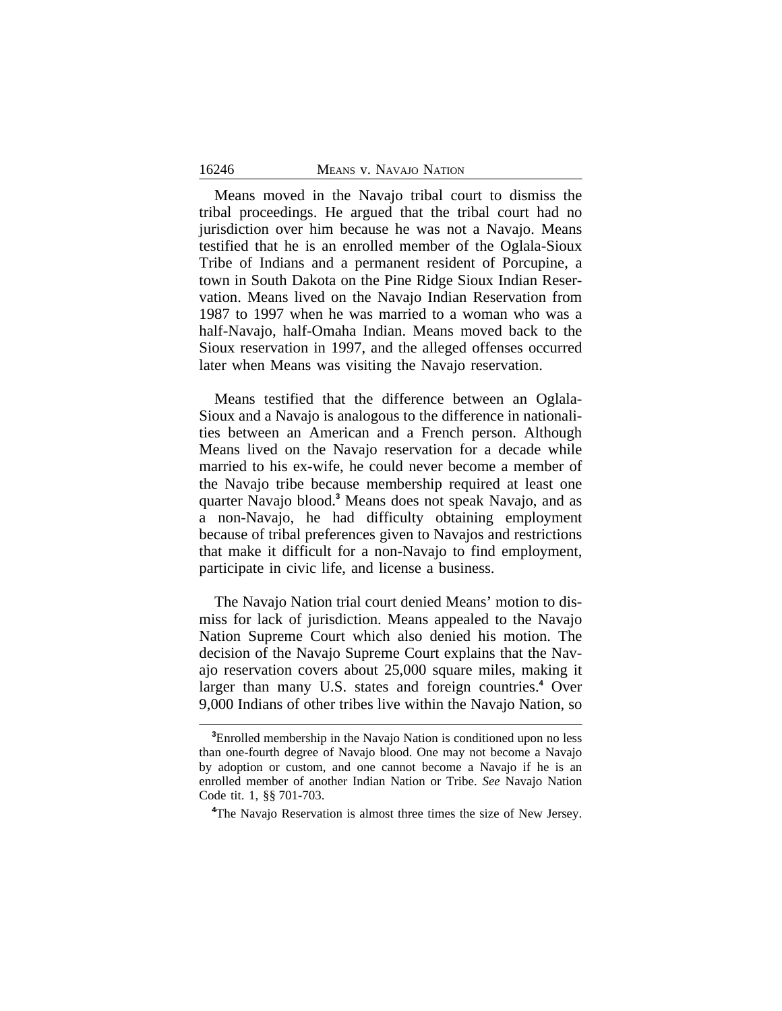#### 16246 MEANS v. NAVAJO NATION

Means moved in the Navajo tribal court to dismiss the tribal proceedings. He argued that the tribal court had no jurisdiction over him because he was not a Navajo. Means testified that he is an enrolled member of the Oglala-Sioux Tribe of Indians and a permanent resident of Porcupine, a town in South Dakota on the Pine Ridge Sioux Indian Reservation. Means lived on the Navajo Indian Reservation from 1987 to 1997 when he was married to a woman who was a half-Navajo, half-Omaha Indian. Means moved back to the Sioux reservation in 1997, and the alleged offenses occurred later when Means was visiting the Navajo reservation.

Means testified that the difference between an Oglala-Sioux and a Navajo is analogous to the difference in nationalities between an American and a French person. Although Means lived on the Navajo reservation for a decade while married to his ex-wife, he could never become a member of the Navajo tribe because membership required at least one quarter Navajo blood.**<sup>3</sup>** Means does not speak Navajo, and as a non-Navajo, he had difficulty obtaining employment because of tribal preferences given to Navajos and restrictions that make it difficult for a non-Navajo to find employment, participate in civic life, and license a business.

The Navajo Nation trial court denied Means' motion to dismiss for lack of jurisdiction. Means appealed to the Navajo Nation Supreme Court which also denied his motion. The decision of the Navajo Supreme Court explains that the Navajo reservation covers about 25,000 square miles, making it larger than many U.S. states and foreign countries.<sup>4</sup> Over 9,000 Indians of other tribes live within the Navajo Nation, so

**<sup>3</sup>**Enrolled membership in the Navajo Nation is conditioned upon no less than one-fourth degree of Navajo blood. One may not become a Navajo by adoption or custom, and one cannot become a Navajo if he is an enrolled member of another Indian Nation or Tribe. *See* Navajo Nation Code tit. 1, §§ 701-703.

**<sup>4</sup>**The Navajo Reservation is almost three times the size of New Jersey.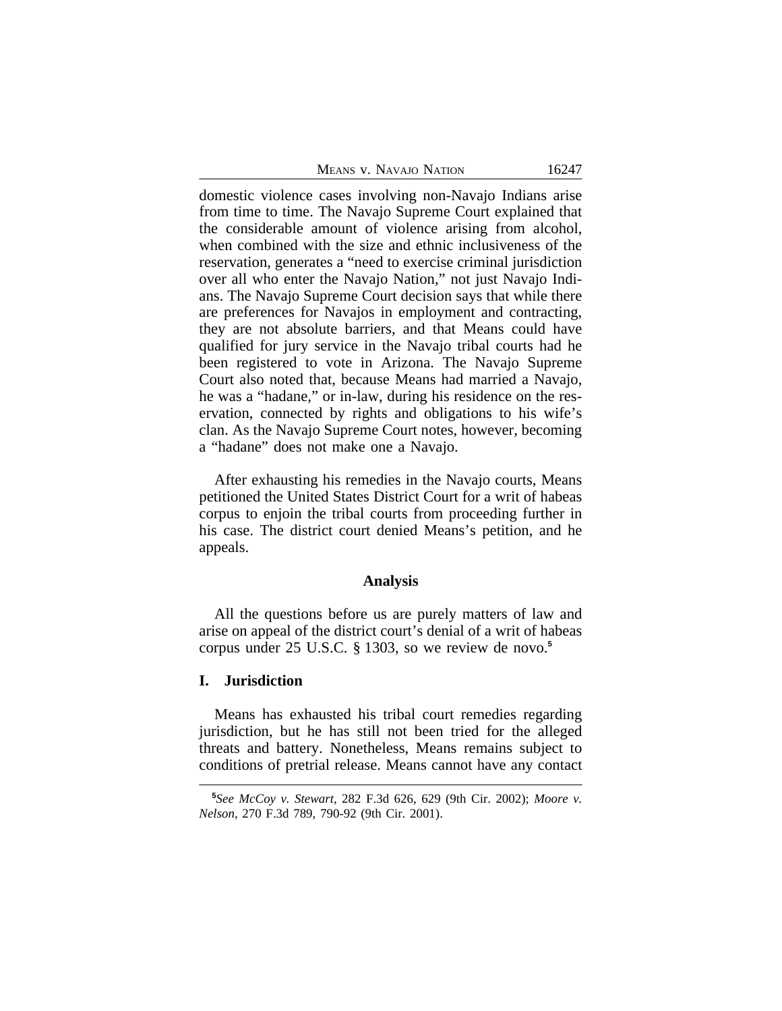|  |  |  | Means v. Navajo Nation |
|--|--|--|------------------------|
|--|--|--|------------------------|

domestic violence cases involving non-Navajo Indians arise from time to time. The Navajo Supreme Court explained that the considerable amount of violence arising from alcohol, when combined with the size and ethnic inclusiveness of the reservation, generates a "need to exercise criminal jurisdiction over all who enter the Navajo Nation," not just Navajo Indians. The Navajo Supreme Court decision says that while there are preferences for Navajos in employment and contracting, they are not absolute barriers, and that Means could have qualified for jury service in the Navajo tribal courts had he been registered to vote in Arizona. The Navajo Supreme Court also noted that, because Means had married a Navajo, he was a "hadane," or in-law, during his residence on the reservation, connected by rights and obligations to his wife's clan. As the Navajo Supreme Court notes, however, becoming a "hadane" does not make one a Navajo.

After exhausting his remedies in the Navajo courts, Means petitioned the United States District Court for a writ of habeas corpus to enjoin the tribal courts from proceeding further in his case. The district court denied Means's petition, and he appeals.

#### **Analysis**

All the questions before us are purely matters of law and arise on appeal of the district court's denial of a writ of habeas corpus under 25 U.S.C. § 1303, so we review de novo.**<sup>5</sup>**

# **I. Jurisdiction**

Means has exhausted his tribal court remedies regarding jurisdiction, but he has still not been tried for the alleged threats and battery. Nonetheless, Means remains subject to conditions of pretrial release. Means cannot have any contact

**<sup>5</sup>** *See McCoy v. Stewart*, 282 F.3d 626, 629 (9th Cir. 2002); *Moore v. Nelson*, 270 F.3d 789, 790-92 (9th Cir. 2001).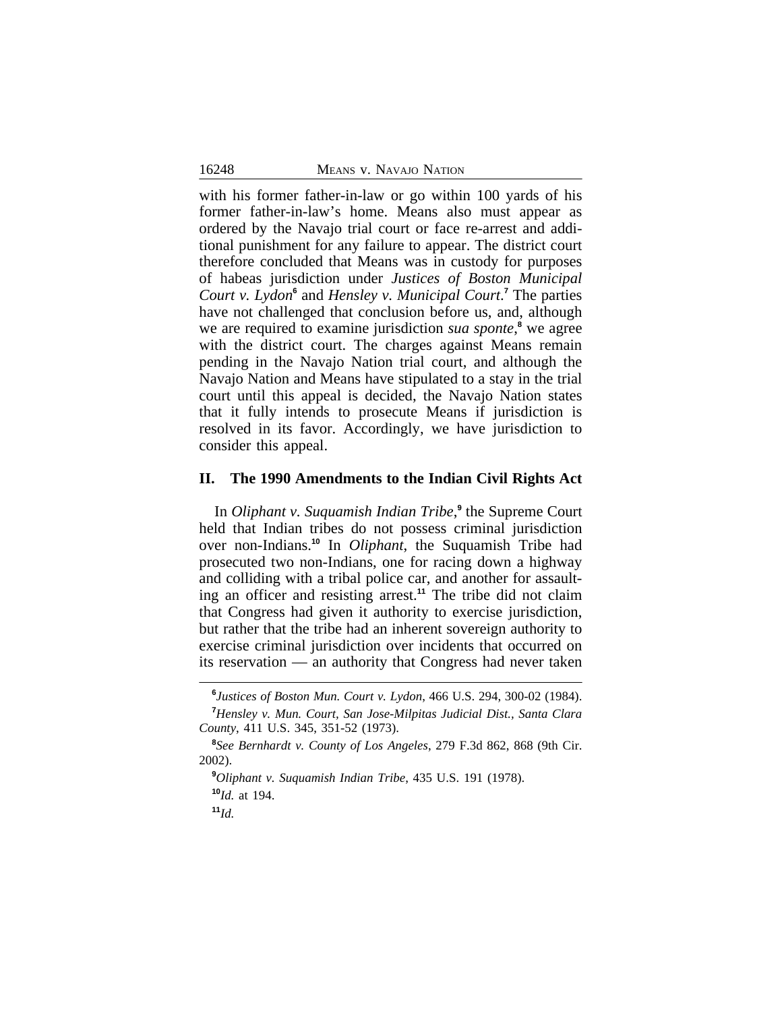with his former father-in-law or go within 100 yards of his former father-in-law's home. Means also must appear as ordered by the Navajo trial court or face re-arrest and additional punishment for any failure to appear. The district court therefore concluded that Means was in custody for purposes of habeas jurisdiction under *Justices of Boston Municipal* Court v. Lydon<sup>6</sup> and *Hensley v. Municipal Court*.<sup>7</sup> The parties have not challenged that conclusion before us, and, although we are required to examine jurisdiction *sua sponte*,<sup>8</sup> we agree with the district court. The charges against Means remain pending in the Navajo Nation trial court, and although the Navajo Nation and Means have stipulated to a stay in the trial court until this appeal is decided, the Navajo Nation states that it fully intends to prosecute Means if jurisdiction is resolved in its favor. Accordingly, we have jurisdiction to consider this appeal.

### **II. The 1990 Amendments to the Indian Civil Rights Act**

In *Oliphant v. Suquamish Indian Tribe*, **9** the Supreme Court held that Indian tribes do not possess criminal jurisdiction over non-Indians.**<sup>10</sup>** In *Oliphant*, the Suquamish Tribe had prosecuted two non-Indians, one for racing down a highway and colliding with a tribal police car, and another for assaulting an officer and resisting arrest.**<sup>11</sup>** The tribe did not claim that Congress had given it authority to exercise jurisdiction, but rather that the tribe had an inherent sovereign authority to exercise criminal jurisdiction over incidents that occurred on its reservation — an authority that Congress had never taken

**<sup>11</sup>***Id.*

**<sup>6</sup>** *Justices of Boston Mun. Court v. Lydon*, 466 U.S. 294, 300-02 (1984). **<sup>7</sup>***Hensley v. Mun. Court, San Jose-Milpitas Judicial Dist., Santa Clara County*, 411 U.S. 345, 351-52 (1973).

**<sup>8</sup>** *See Bernhardt v. County of Los Angeles*, 279 F.3d 862, 868 (9th Cir. 2002).

**<sup>9</sup>***Oliphant v. Suquamish Indian Tribe*, 435 U.S. 191 (1978). **<sup>10</sup>***Id.* at 194.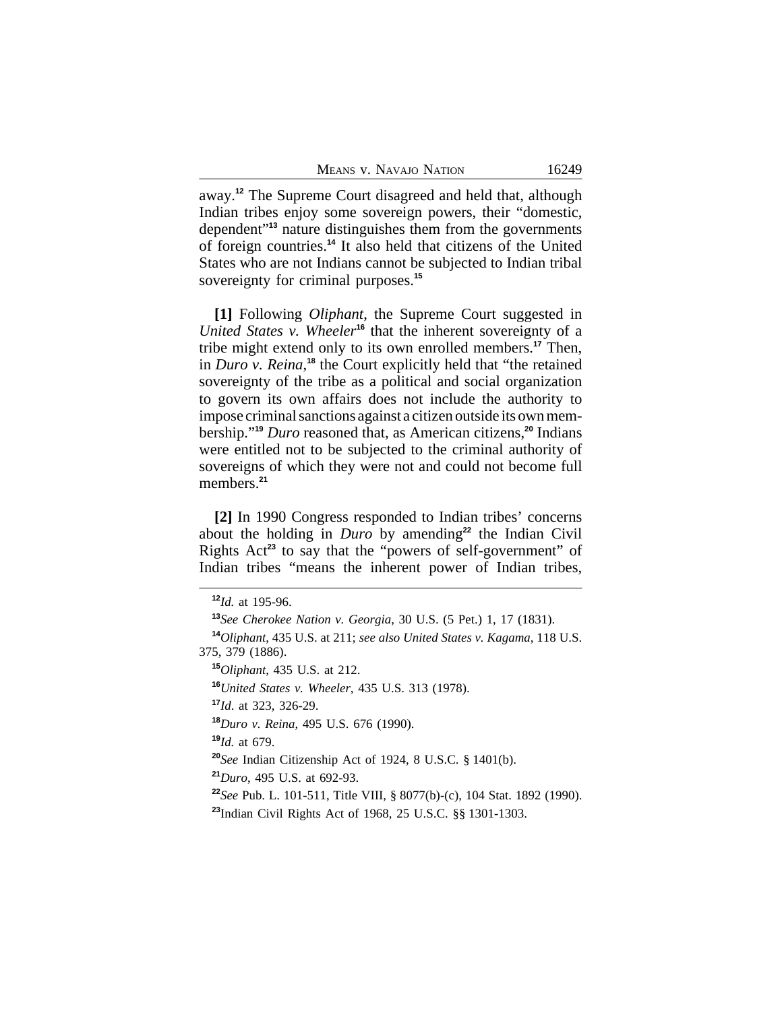away.**<sup>12</sup>** The Supreme Court disagreed and held that, although Indian tribes enjoy some sovereign powers, their "domestic, dependent" **<sup>13</sup>** nature distinguishes them from the governments of foreign countries.**<sup>14</sup>** It also held that citizens of the United States who are not Indians cannot be subjected to Indian tribal sovereignty for criminal purposes.**<sup>15</sup>**

**[1]** Following *Oliphant*, the Supreme Court suggested in *United States v. Wheeler***<sup>16</sup>** that the inherent sovereignty of a tribe might extend only to its own enrolled members.**<sup>17</sup>** Then, in *Duro v. Reina*, **<sup>18</sup>** the Court explicitly held that "the retained sovereignty of the tribe as a political and social organization to govern its own affairs does not include the authority to impose criminal sanctions against a citizen outside its own membership."**<sup>19</sup>** *Duro* reasoned that, as American citizens,**<sup>20</sup>** Indians were entitled not to be subjected to the criminal authority of sovereigns of which they were not and could not become full members.**<sup>21</sup>**

**[2]** In 1990 Congress responded to Indian tribes' concerns about the holding in *Duro* by amending**<sup>22</sup>** the Indian Civil Rights Act**<sup>23</sup>** to say that the "powers of self-government" of Indian tribes "means the inherent power of Indian tribes,

**<sup>16</sup>***United States v. Wheeler*, 435 U.S. 313 (1978).

**<sup>18</sup>***Duro v. Reina*, 495 U.S. 676 (1990).

**<sup>19</sup>***Id.* at 679.

**<sup>20</sup>***See* Indian Citizenship Act of 1924, 8 U.S.C. § 1401(b).

**<sup>21</sup>***Duro*, 495 U.S. at 692-93.

**<sup>22</sup>***See* Pub. L. 101-511, Title VIII, § 8077(b)-(c), 104 Stat. 1892 (1990).

**<sup>23</sup>**Indian Civil Rights Act of 1968, 25 U.S.C. §§ 1301-1303.

**<sup>12</sup>***Id.* at 195-96.

**<sup>13</sup>***See Cherokee Nation v. Georgia*, 30 U.S. (5 Pet.) 1, 17 (1831).

**<sup>14</sup>***Oliphant*, 435 U.S. at 211; *see also United States v. Kagama*, 118 U.S. 375, 379 (1886).

**<sup>15</sup>***Oliphant*, 435 U.S. at 212.

**<sup>17</sup>***Id*. at 323, 326-29.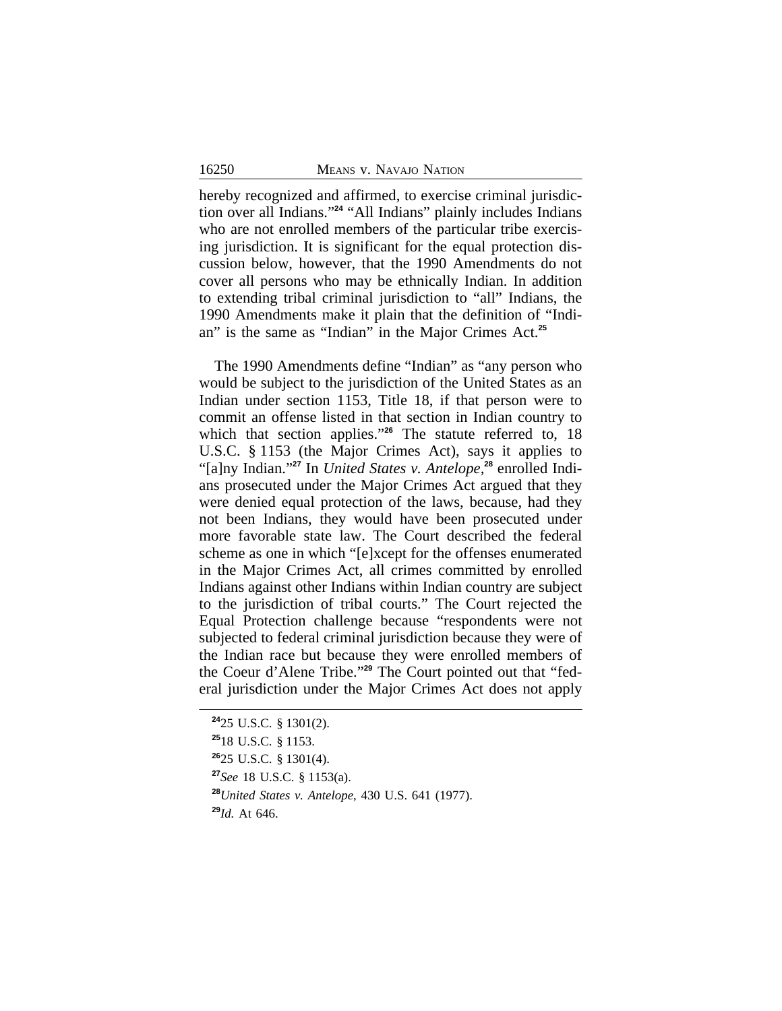hereby recognized and affirmed, to exercise criminal jurisdiction over all Indians." **<sup>24</sup>** "All Indians" plainly includes Indians who are not enrolled members of the particular tribe exercising jurisdiction. It is significant for the equal protection discussion below, however, that the 1990 Amendments do not cover all persons who may be ethnically Indian. In addition to extending tribal criminal jurisdiction to "all" Indians, the 1990 Amendments make it plain that the definition of "Indian" is the same as "Indian" in the Major Crimes Act.**<sup>25</sup>**

The 1990 Amendments define "Indian" as "any person who would be subject to the jurisdiction of the United States as an Indian under section 1153, Title 18, if that person were to commit an offense listed in that section in Indian country to which that section applies." **<sup>26</sup>** The statute referred to, 18 U.S.C. § 1153 (the Major Crimes Act), says it applies to "[a]ny Indian." **27** In *United States v. Antelope,***28** enrolled Indians prosecuted under the Major Crimes Act argued that they were denied equal protection of the laws, because, had they not been Indians, they would have been prosecuted under more favorable state law. The Court described the federal scheme as one in which "[e]xcept for the offenses enumerated in the Major Crimes Act, all crimes committed by enrolled Indians against other Indians within Indian country are subject to the jurisdiction of tribal courts." The Court rejected the Equal Protection challenge because "respondents were not subjected to federal criminal jurisdiction because they were of the Indian race but because they were enrolled members of the Coeur d'Alene Tribe." **29** The Court pointed out that "federal jurisdiction under the Major Crimes Act does not apply

**<sup>24</sup>**25 U.S.C. § 1301(2). **<sup>25</sup>**18 U.S.C. § 1153. **<sup>26</sup>**25 U.S.C. § 1301(4). **<sup>27</sup>***See* 18 U.S.C. § 1153(a). **<sup>28</sup>***United States v. Antelope*, 430 U.S. 641 (1977). **<sup>29</sup>***Id.* At 646.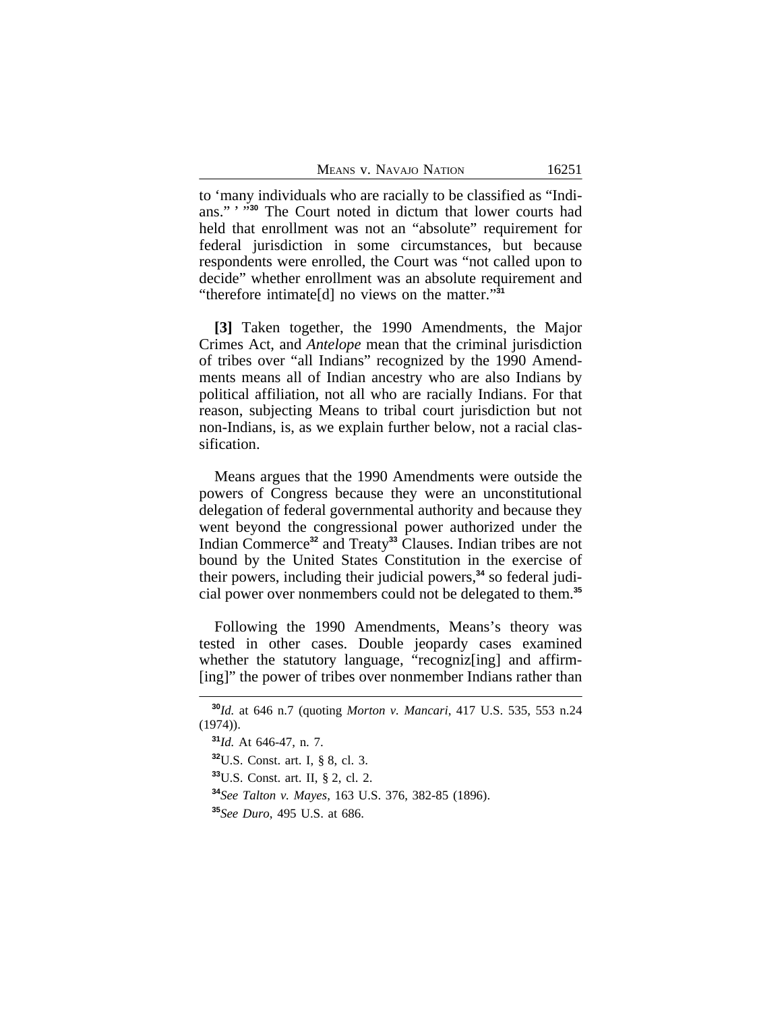to 'many individuals who are racially to be classified as "Indians." ' " **<sup>30</sup>** The Court noted in dictum that lower courts had held that enrollment was not an "absolute" requirement for federal jurisdiction in some circumstances, but because respondents were enrolled, the Court was "not called upon to decide" whether enrollment was an absolute requirement and "therefore intimate[d] no views on the matter." **31**

**[3]** Taken together, the 1990 Amendments, the Major Crimes Act, and *Antelope* mean that the criminal jurisdiction of tribes over "all Indians" recognized by the 1990 Amendments means all of Indian ancestry who are also Indians by political affiliation, not all who are racially Indians. For that reason, subjecting Means to tribal court jurisdiction but not non-Indians, is, as we explain further below, not a racial classification.

Means argues that the 1990 Amendments were outside the powers of Congress because they were an unconstitutional delegation of federal governmental authority and because they went beyond the congressional power authorized under the Indian Commerce**<sup>32</sup>** and Treaty**<sup>33</sup>** Clauses. Indian tribes are not bound by the United States Constitution in the exercise of their powers, including their judicial powers,**34** so federal judicial power over nonmembers could not be delegated to them.**<sup>35</sup>**

Following the 1990 Amendments, Means's theory was tested in other cases. Double jeopardy cases examined whether the statutory language, "recogniz[ing] and affirm-[ing]" the power of tribes over nonmember Indians rather than

**<sup>30</sup>***Id.* at 646 n.7 (quoting *Morton v. Mancari*, 417 U.S. 535, 553 n.24 (1974)).

**<sup>31</sup>***Id.* At 646-47, n. 7.

**<sup>32</sup>**U.S. Const. art. I, § 8, cl. 3.

**<sup>33</sup>**U.S. Const. art. II, § 2, cl. 2.

**<sup>34</sup>***See Talton v. Mayes*, 163 U.S. 376, 382-85 (1896).

**<sup>35</sup>***See Duro*, 495 U.S. at 686.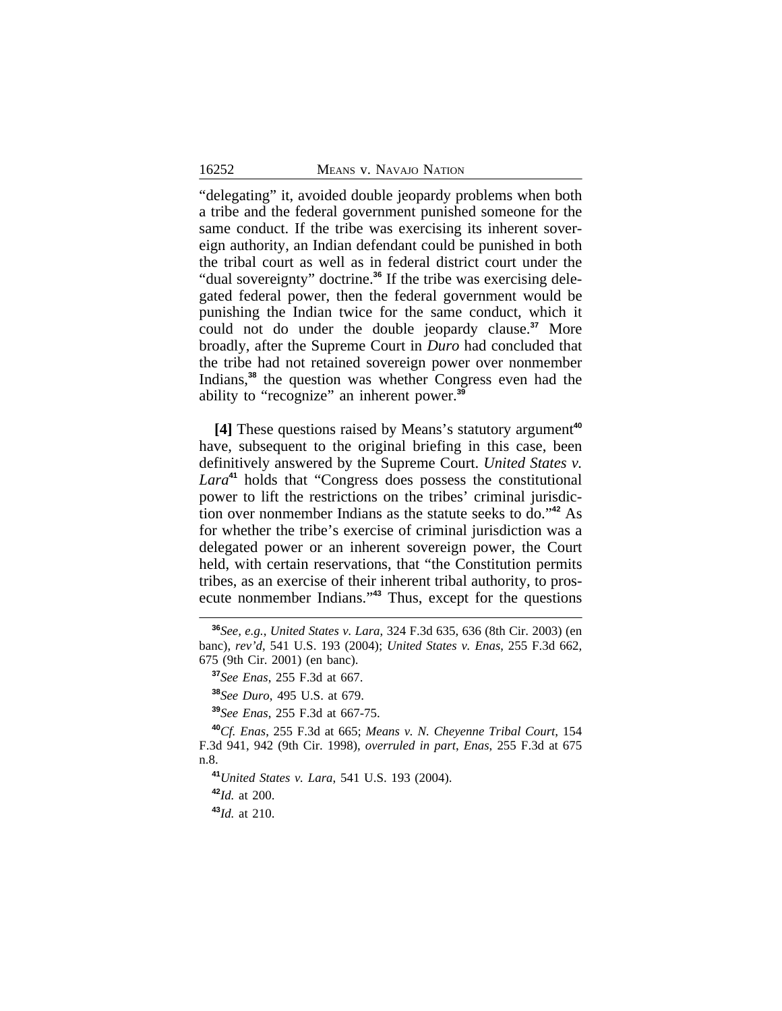"delegating" it, avoided double jeopardy problems when both a tribe and the federal government punished someone for the same conduct. If the tribe was exercising its inherent sovereign authority, an Indian defendant could be punished in both the tribal court as well as in federal district court under the "dual sovereignty" doctrine.**36** If the tribe was exercising delegated federal power, then the federal government would be punishing the Indian twice for the same conduct, which it could not do under the double jeopardy clause.**<sup>37</sup>** More broadly, after the Supreme Court in *Duro* had concluded that the tribe had not retained sovereign power over nonmember Indians,**<sup>38</sup>** the question was whether Congress even had the ability to "recognize" an inherent power.**<sup>39</sup>**

**[4]** These questions raised by Means's statutory argument**<sup>40</sup>** have, subsequent to the original briefing in this case, been definitively answered by the Supreme Court. *United States v. Lara***<sup>41</sup>** holds that "Congress does possess the constitutional power to lift the restrictions on the tribes' criminal jurisdiction over nonmember Indians as the statute seeks to do." **<sup>42</sup>** As for whether the tribe's exercise of criminal jurisdiction was a delegated power or an inherent sovereign power, the Court held, with certain reservations, that "the Constitution permits tribes, as an exercise of their inherent tribal authority, to prosecute nonmember Indians." **<sup>43</sup>** Thus, except for the questions

**<sup>39</sup>***See Enas*, 255 F.3d at 667-75.

**<sup>41</sup>***United States v. Lara*, 541 U.S. 193 (2004).

**<sup>42</sup>***Id.* at 200.

**<sup>43</sup>***Id.* at 210.

**<sup>36</sup>***See, e.g.*, *United States v. Lara*, 324 F.3d 635, 636 (8th Cir. 2003) (en banc), *rev'd*, 541 U.S. 193 (2004); *United States v. Enas*, 255 F.3d 662, 675 (9th Cir. 2001) (en banc).

**<sup>37</sup>***See Enas*, 255 F.3d at 667.

**<sup>38</sup>***See Duro*, 495 U.S. at 679.

**<sup>40</sup>***Cf. Enas*, 255 F.3d at 665; *Means v. N. Cheyenne Tribal Court*, 154 F.3d 941, 942 (9th Cir. 1998), *overruled in part*, *Enas*, 255 F.3d at 675 n.8.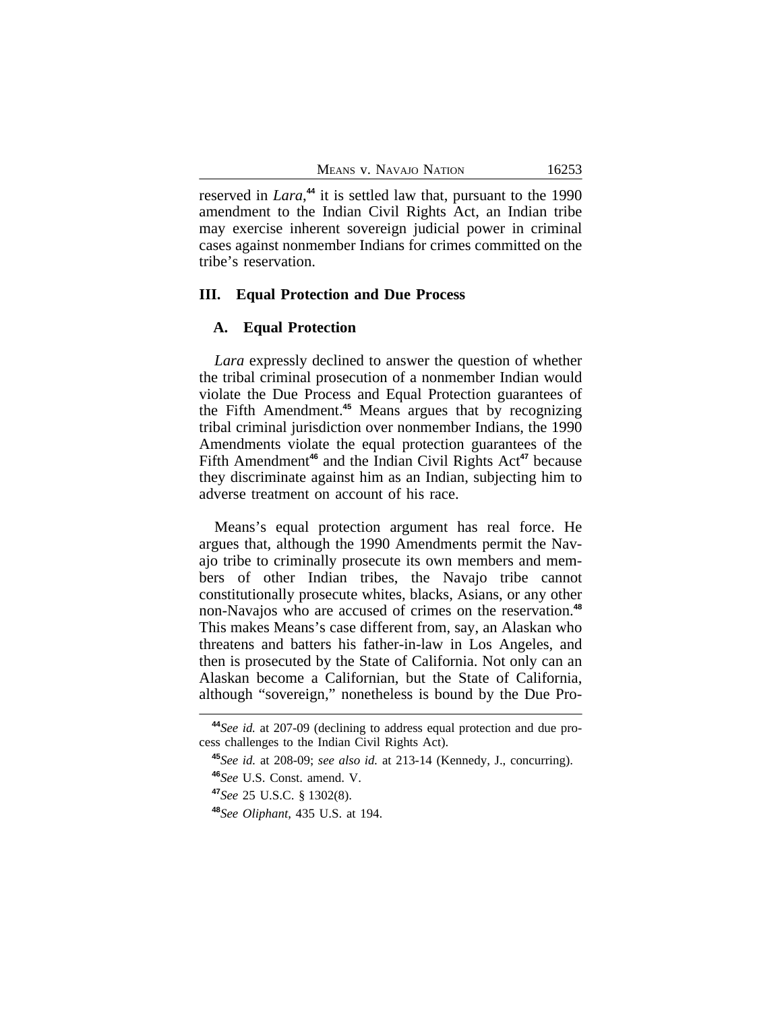reserved in *Lara*, **<sup>44</sup>** it is settled law that, pursuant to the 1990 amendment to the Indian Civil Rights Act, an Indian tribe may exercise inherent sovereign judicial power in criminal cases against nonmember Indians for crimes committed on the tribe's reservation.

# **III. Equal Protection and Due Process**

### **A. Equal Protection**

*Lara* expressly declined to answer the question of whether the tribal criminal prosecution of a nonmember Indian would violate the Due Process and Equal Protection guarantees of the Fifth Amendment.**<sup>45</sup>** Means argues that by recognizing tribal criminal jurisdiction over nonmember Indians, the 1990 Amendments violate the equal protection guarantees of the Fifth Amendment<sup>46</sup> and the Indian Civil Rights Act<sup>47</sup> because they discriminate against him as an Indian, subjecting him to adverse treatment on account of his race.

Means's equal protection argument has real force. He argues that, although the 1990 Amendments permit the Navajo tribe to criminally prosecute its own members and members of other Indian tribes, the Navajo tribe cannot constitutionally prosecute whites, blacks, Asians, or any other non-Navajos who are accused of crimes on the reservation.**<sup>48</sup>** This makes Means's case different from, say, an Alaskan who threatens and batters his father-in-law in Los Angeles, and then is prosecuted by the State of California. Not only can an Alaskan become a Californian, but the State of California, although "sovereign," nonetheless is bound by the Due Pro-

**<sup>44</sup>***See id.* at 207-09 (declining to address equal protection and due process challenges to the Indian Civil Rights Act).

**<sup>45</sup>***See id.* at 208-09; *see also id.* at 213-14 (Kennedy, J., concurring).

**<sup>46</sup>***See* U.S. Const. amend. V.

**<sup>47</sup>***See* 25 U.S.C. § 1302(8).

**<sup>48</sup>***See Oliphant*, 435 U.S. at 194.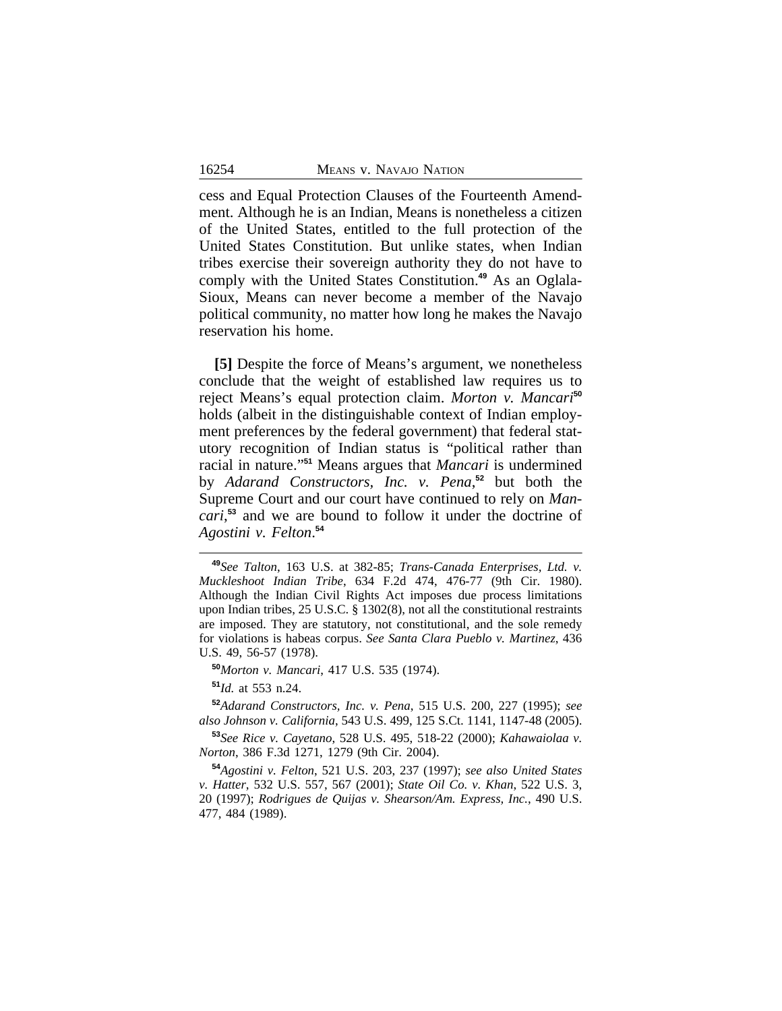cess and Equal Protection Clauses of the Fourteenth Amendment. Although he is an Indian, Means is nonetheless a citizen of the United States, entitled to the full protection of the United States Constitution. But unlike states, when Indian tribes exercise their sovereign authority they do not have to comply with the United States Constitution.**49** As an Oglala-Sioux, Means can never become a member of the Navajo political community, no matter how long he makes the Navajo reservation his home.

**[5]** Despite the force of Means's argument, we nonetheless conclude that the weight of established law requires us to reject Means's equal protection claim. *Morton v. Mancari***<sup>50</sup>** holds (albeit in the distinguishable context of Indian employment preferences by the federal government) that federal statutory recognition of Indian status is "political rather than racial in nature." **<sup>51</sup>** Means argues that *Mancari* is undermined by *Adarand Constructors, Inc. v. Pena*, **<sup>52</sup>** but both the Supreme Court and our court have continued to rely on *Mancari*, **<sup>53</sup>** and we are bound to follow it under the doctrine of *Agostini v. Felton*. **54**

**<sup>50</sup>***Morton v. Mancari*, 417 U.S. 535 (1974).

**<sup>51</sup>***Id.* at 553 n.24.

**<sup>52</sup>***Adarand Constructors, Inc. v. Pena*, 515 U.S. 200, 227 (1995); *see also Johnson v. California*, 543 U.S. 499, 125 S.Ct. 1141, 1147-48 (2005).

**<sup>53</sup>***See Rice v. Cayetano*, 528 U.S. 495, 518-22 (2000); *Kahawaiolaa v. Norton*, 386 F.3d 1271, 1279 (9th Cir. 2004).

**<sup>54</sup>***Agostini v. Felton*, 521 U.S. 203, 237 (1997); *see also United States v. Hatter*, 532 U.S. 557, 567 (2001); *State Oil Co. v. Khan*, 522 U.S. 3, 20 (1997); *Rodrigues de Quijas v. Shearson/Am. Express, Inc.*, 490 U.S. 477, 484 (1989).

**<sup>49</sup>***See Talton*, 163 U.S. at 382-85; *Trans-Canada Enterprises, Ltd. v. Muckleshoot Indian Tribe*, 634 F.2d 474, 476-77 (9th Cir. 1980). Although the Indian Civil Rights Act imposes due process limitations upon Indian tribes, 25 U.S.C. § 1302(8), not all the constitutional restraints are imposed. They are statutory, not constitutional, and the sole remedy for violations is habeas corpus. *See Santa Clara Pueblo v. Martinez*, 436 U.S. 49, 56-57 (1978).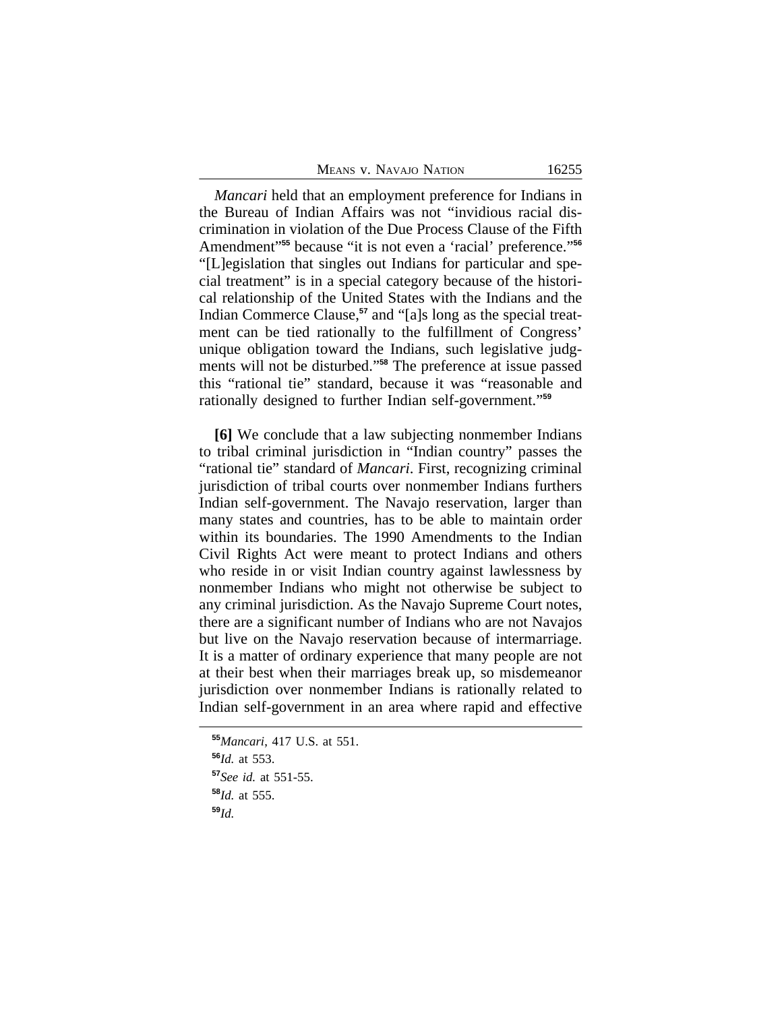| MEANS V. NAVAJO NATION |  |
|------------------------|--|
|------------------------|--|

*Mancari* held that an employment preference for Indians in the Bureau of Indian Affairs was not "invidious racial discrimination in violation of the Due Process Clause of the Fifth Amendment" **<sup>55</sup>** because "it is not even a 'racial' preference." **56** "[L]egislation that singles out Indians for particular and special treatment" is in a special category because of the historical relationship of the United States with the Indians and the Indian Commerce Clause,**57** and "[a]s long as the special treatment can be tied rationally to the fulfillment of Congress' unique obligation toward the Indians, such legislative judgments will not be disturbed." **<sup>58</sup>** The preference at issue passed this "rational tie" standard, because it was "reasonable and rationally designed to further Indian self-government." **59**

**[6]** We conclude that a law subjecting nonmember Indians to tribal criminal jurisdiction in "Indian country" passes the "rational tie" standard of *Mancari*. First, recognizing criminal jurisdiction of tribal courts over nonmember Indians furthers Indian self-government. The Navajo reservation, larger than many states and countries, has to be able to maintain order within its boundaries. The 1990 Amendments to the Indian Civil Rights Act were meant to protect Indians and others who reside in or visit Indian country against lawlessness by nonmember Indians who might not otherwise be subject to any criminal jurisdiction. As the Navajo Supreme Court notes, there are a significant number of Indians who are not Navajos but live on the Navajo reservation because of intermarriage. It is a matter of ordinary experience that many people are not at their best when their marriages break up, so misdemeanor jurisdiction over nonmember Indians is rationally related to Indian self-government in an area where rapid and effective

**<sup>55</sup>***Mancari*, 417 U.S. at 551. **<sup>56</sup>***Id.* at 553. **<sup>57</sup>***See id.* at 551-55. **<sup>58</sup>***Id.* at 555. **<sup>59</sup>***Id.*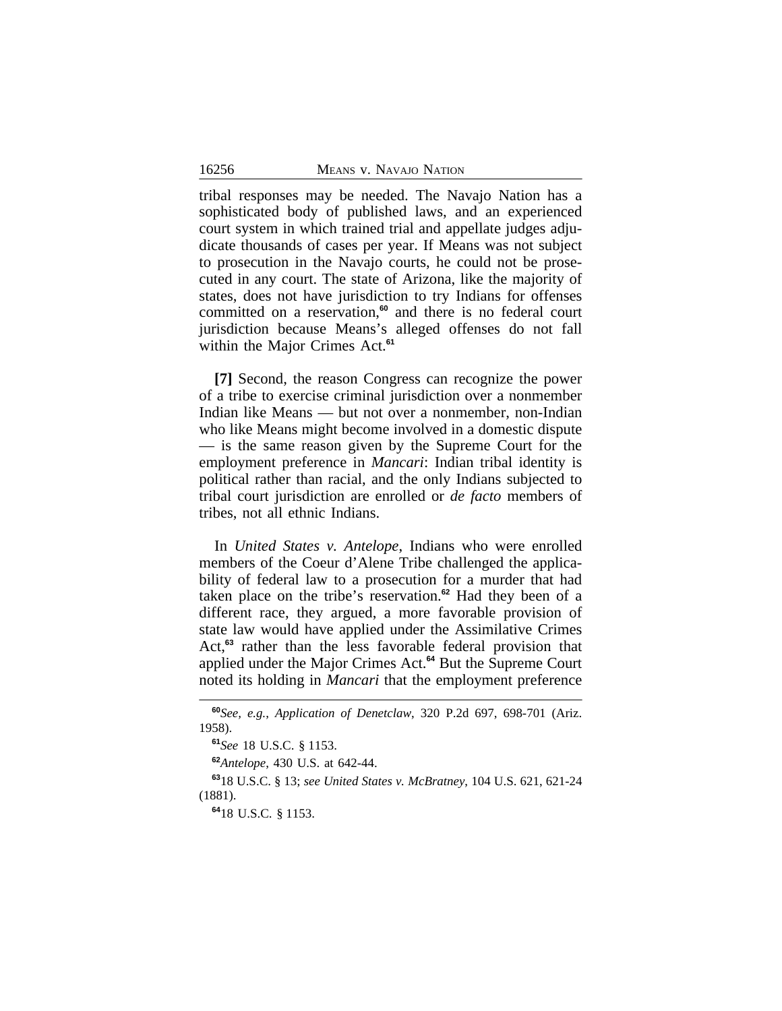tribal responses may be needed. The Navajo Nation has a sophisticated body of published laws, and an experienced court system in which trained trial and appellate judges adjudicate thousands of cases per year. If Means was not subject to prosecution in the Navajo courts, he could not be prosecuted in any court. The state of Arizona, like the majority of states, does not have jurisdiction to try Indians for offenses committed on a reservation,**<sup>60</sup>** and there is no federal court jurisdiction because Means's alleged offenses do not fall within the Major Crimes Act.**<sup>61</sup>**

**[7]** Second, the reason Congress can recognize the power of a tribe to exercise criminal jurisdiction over a nonmember Indian like Means — but not over a nonmember, non-Indian who like Means might become involved in a domestic dispute — is the same reason given by the Supreme Court for the employment preference in *Mancari*: Indian tribal identity is political rather than racial, and the only Indians subjected to tribal court jurisdiction are enrolled or *de facto* members of tribes, not all ethnic Indians.

In *United States v. Antelope*, Indians who were enrolled members of the Coeur d'Alene Tribe challenged the applicability of federal law to a prosecution for a murder that had taken place on the tribe's reservation.**<sup>62</sup>** Had they been of a different race, they argued, a more favorable provision of state law would have applied under the Assimilative Crimes Act,**<sup>63</sup>** rather than the less favorable federal provision that applied under the Major Crimes Act.**<sup>64</sup>** But the Supreme Court noted its holding in *Mancari* that the employment preference

**<sup>60</sup>***See, e.g.*, *Application of Denetclaw*, 320 P.2d 697, 698-701 (Ariz. 1958).

**<sup>61</sup>***See* 18 U.S.C. § 1153.

**<sup>62</sup>***Antelope*, 430 U.S. at 642-44.

**<sup>63</sup>**18 U.S.C. § 13; *see United States v. McBratney*, 104 U.S. 621, 621-24 (1881).

**<sup>64</sup>**18 U.S.C. § 1153.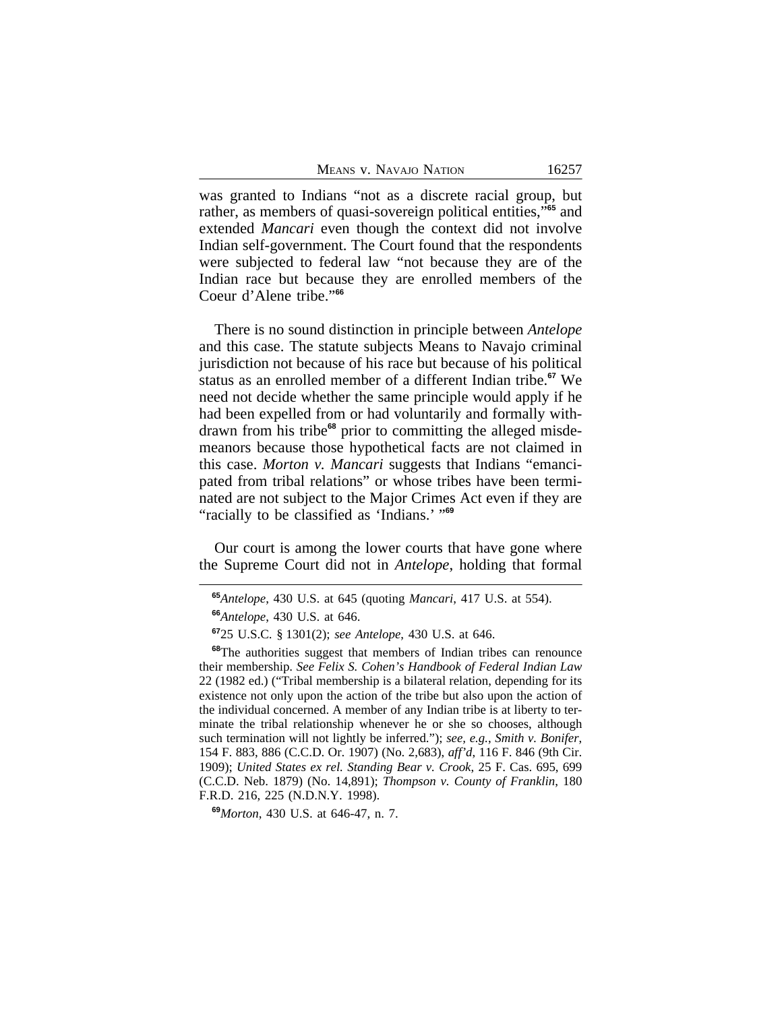MEANS V. NAVAJO NATION 16257

was granted to Indians "not as a discrete racial group, but rather, as members of quasi-sovereign political entities," **<sup>65</sup>** and extended *Mancari* even though the context did not involve Indian self-government. The Court found that the respondents were subjected to federal law "not because they are of the Indian race but because they are enrolled members of the Coeur d'Alene tribe." **66**

There is no sound distinction in principle between *Antelope* and this case. The statute subjects Means to Navajo criminal jurisdiction not because of his race but because of his political status as an enrolled member of a different Indian tribe.**<sup>67</sup>** We need not decide whether the same principle would apply if he had been expelled from or had voluntarily and formally withdrawn from his tribe**68** prior to committing the alleged misdemeanors because those hypothetical facts are not claimed in this case. *Morton v. Mancari* suggests that Indians "emancipated from tribal relations" or whose tribes have been terminated are not subject to the Major Crimes Act even if they are "racially to be classified as 'Indians.' " **69**

Our court is among the lower courts that have gone where the Supreme Court did not in *Antelope*, holding that formal

**<sup>69</sup>***Morton*, 430 U.S. at 646-47, n. 7.

**<sup>65</sup>***Antelope*, 430 U.S. at 645 (quoting *Mancari*, 417 U.S. at 554).

**<sup>66</sup>***Antelope*, 430 U.S. at 646.

**<sup>67</sup>**25 U.S.C. § 1301(2); *see Antelope*, 430 U.S. at 646.

**<sup>68</sup>**The authorities suggest that members of Indian tribes can renounce their membership. *See Felix S. Cohen's Handbook of Federal Indian Law* 22 (1982 ed.) ("Tribal membership is a bilateral relation, depending for its existence not only upon the action of the tribe but also upon the action of the individual concerned. A member of any Indian tribe is at liberty to terminate the tribal relationship whenever he or she so chooses, although such termination will not lightly be inferred."); *see, e.g.*, *Smith v. Bonifer*, 154 F. 883, 886 (C.C.D. Or. 1907) (No. 2,683), *aff'd*, 116 F. 846 (9th Cir. 1909); *United States ex rel. Standing Bear v. Crook*, 25 F. Cas. 695, 699 (C.C.D. Neb. 1879) (No. 14,891); *Thompson v. County of Franklin*, 180 F.R.D. 216, 225 (N.D.N.Y. 1998).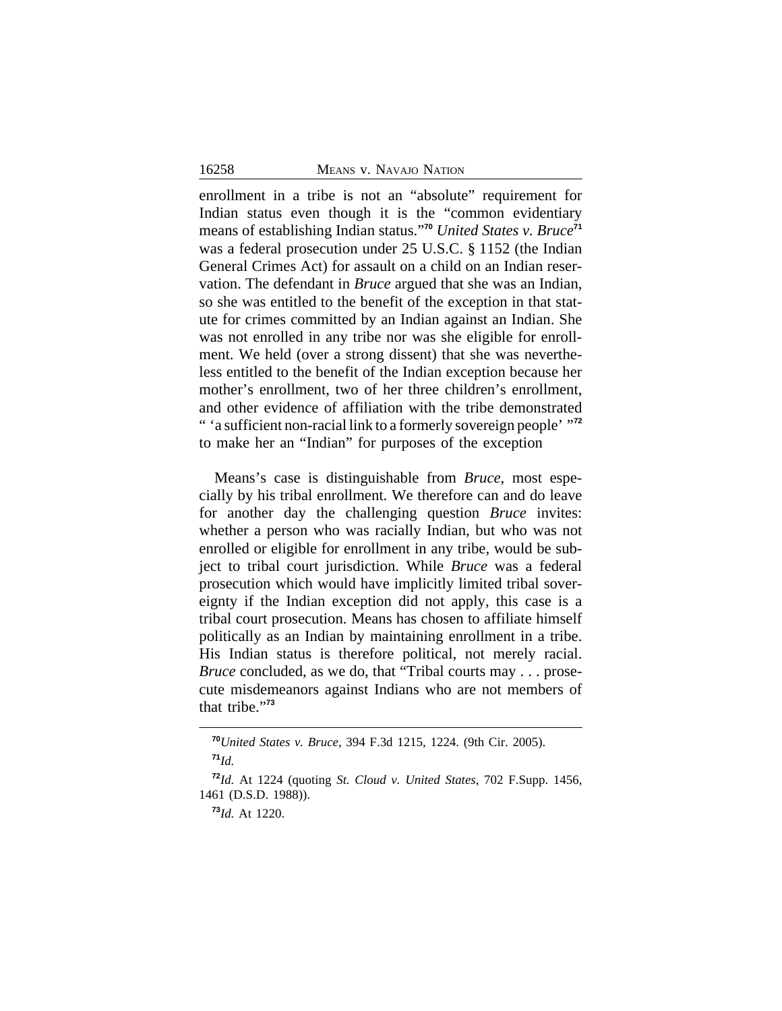enrollment in a tribe is not an "absolute" requirement for Indian status even though it is the "common evidentiary means of establishing Indian status." **<sup>70</sup>** *United States v. Bruce***<sup>71</sup>** was a federal prosecution under 25 U.S.C. § 1152 (the Indian General Crimes Act) for assault on a child on an Indian reservation. The defendant in *Bruce* argued that she was an Indian, so she was entitled to the benefit of the exception in that statute for crimes committed by an Indian against an Indian. She was not enrolled in any tribe nor was she eligible for enrollment. We held (over a strong dissent) that she was nevertheless entitled to the benefit of the Indian exception because her mother's enrollment, two of her three children's enrollment, and other evidence of affiliation with the tribe demonstrated " 'a sufficient non-racial link to a formerly sovereign people' " **72** to make her an "Indian" for purposes of the exception

Means's case is distinguishable from *Bruce*, most especially by his tribal enrollment. We therefore can and do leave for another day the challenging question *Bruce* invites: whether a person who was racially Indian, but who was not enrolled or eligible for enrollment in any tribe, would be subject to tribal court jurisdiction. While *Bruce* was a federal prosecution which would have implicitly limited tribal sovereignty if the Indian exception did not apply, this case is a tribal court prosecution. Means has chosen to affiliate himself politically as an Indian by maintaining enrollment in a tribe. His Indian status is therefore political, not merely racial. *Bruce* concluded, as we do, that "Tribal courts may . . . prosecute misdemeanors against Indians who are not members of that tribe." **73**

**<sup>70</sup>***United States v. Bruce*, 394 F.3d 1215, 1224. (9th Cir. 2005). **<sup>71</sup>***Id.*

**<sup>72</sup>***Id.* At 1224 (quoting *St. Cloud v. United States*, 702 F.Supp. 1456, 1461 (D.S.D. 1988)).

**<sup>73</sup>***Id.* At 1220.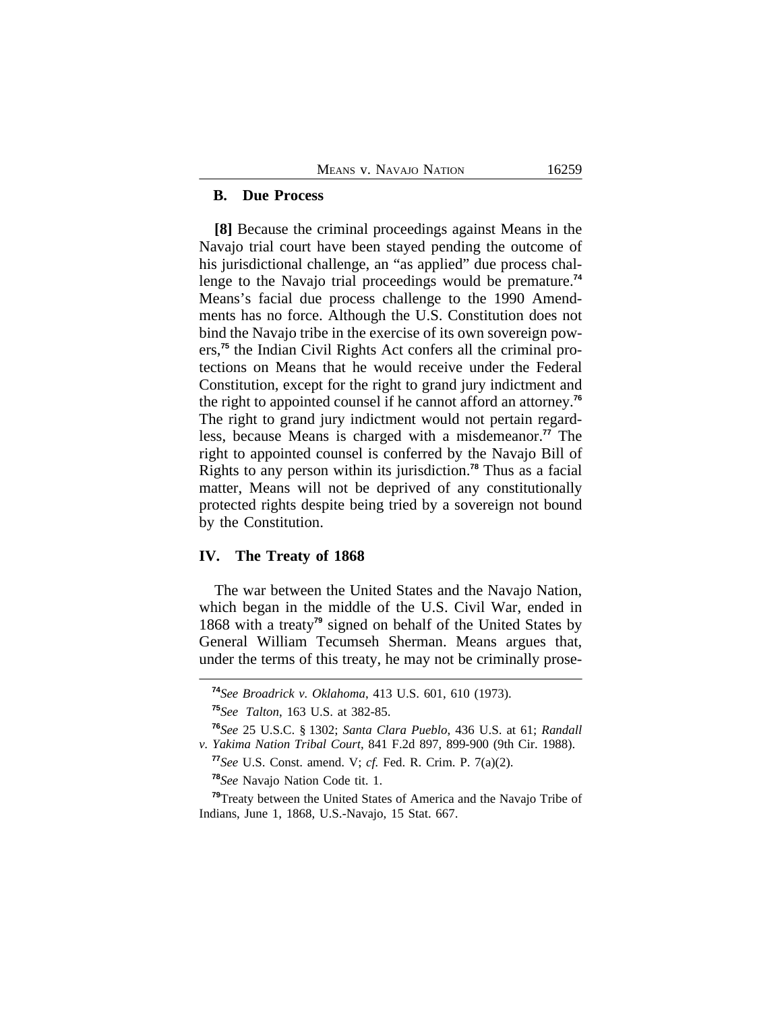### **B. Due Process**

**[8]** Because the criminal proceedings against Means in the Navajo trial court have been stayed pending the outcome of his jurisdictional challenge, an "as applied" due process challenge to the Navajo trial proceedings would be premature.**<sup>74</sup>** Means's facial due process challenge to the 1990 Amendments has no force. Although the U.S. Constitution does not bind the Navajo tribe in the exercise of its own sovereign powers,**75** the Indian Civil Rights Act confers all the criminal protections on Means that he would receive under the Federal Constitution, except for the right to grand jury indictment and the right to appointed counsel if he cannot afford an attorney.**<sup>76</sup>** The right to grand jury indictment would not pertain regardless, because Means is charged with a misdemeanor.**<sup>77</sup>** The right to appointed counsel is conferred by the Navajo Bill of Rights to any person within its jurisdiction.**<sup>78</sup>** Thus as a facial matter, Means will not be deprived of any constitutionally protected rights despite being tried by a sovereign not bound by the Constitution.

### **IV. The Treaty of 1868**

The war between the United States and the Navajo Nation, which began in the middle of the U.S. Civil War, ended in 1868 with a treaty**<sup>79</sup>** signed on behalf of the United States by General William Tecumseh Sherman. Means argues that, under the terms of this treaty, he may not be criminally prose-

**<sup>78</sup>***See* Navajo Nation Code tit. 1.

**<sup>74</sup>***See Broadrick v. Oklahoma*, 413 U.S. 601, 610 (1973).

**<sup>75</sup>***See Talton*, 163 U.S. at 382-85.

**<sup>76</sup>***See* 25 U.S.C. § 1302; *Santa Clara Pueblo*, 436 U.S. at 61; *Randall v. Yakima Nation Tribal Court*, 841 F.2d 897, 899-900 (9th Cir. 1988).

**<sup>77</sup>***See* U.S. Const. amend. V; *cf.* Fed. R. Crim. P. 7(a)(2).

**<sup>79</sup>**Treaty between the United States of America and the Navajo Tribe of Indians, June 1, 1868, U.S.-Navajo, 15 Stat. 667.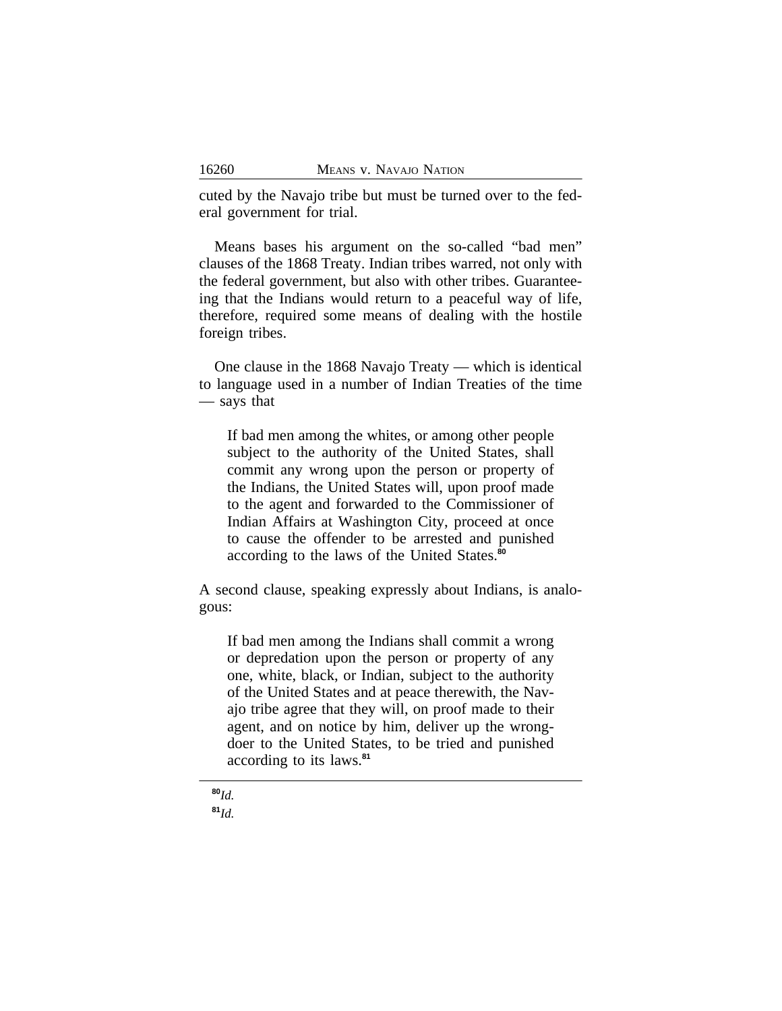cuted by the Navajo tribe but must be turned over to the federal government for trial.

Means bases his argument on the so-called "bad men" clauses of the 1868 Treaty. Indian tribes warred, not only with the federal government, but also with other tribes. Guaranteeing that the Indians would return to a peaceful way of life, therefore, required some means of dealing with the hostile foreign tribes.

One clause in the 1868 Navajo Treaty — which is identical to language used in a number of Indian Treaties of the time — says that

If bad men among the whites, or among other people subject to the authority of the United States, shall commit any wrong upon the person or property of the Indians, the United States will, upon proof made to the agent and forwarded to the Commissioner of Indian Affairs at Washington City, proceed at once to cause the offender to be arrested and punished according to the laws of the United States.**<sup>80</sup>**

A second clause, speaking expressly about Indians, is analogous:

If bad men among the Indians shall commit a wrong or depredation upon the person or property of any one, white, black, or Indian, subject to the authority of the United States and at peace therewith, the Navajo tribe agree that they will, on proof made to their agent, and on notice by him, deliver up the wrongdoer to the United States, to be tried and punished according to its laws.**<sup>81</sup>**

**<sup>80</sup>***Id.* **<sup>81</sup>***Id.*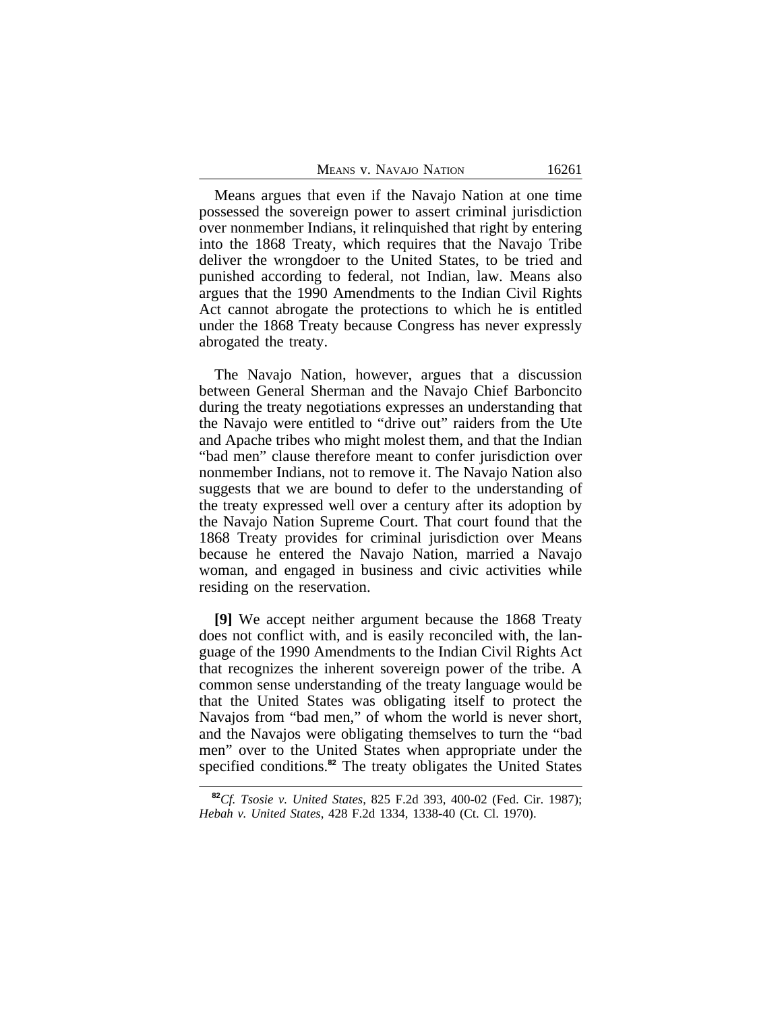Means argues that even if the Navajo Nation at one time possessed the sovereign power to assert criminal jurisdiction over nonmember Indians, it relinquished that right by entering into the 1868 Treaty, which requires that the Navajo Tribe deliver the wrongdoer to the United States, to be tried and punished according to federal, not Indian, law. Means also argues that the 1990 Amendments to the Indian Civil Rights Act cannot abrogate the protections to which he is entitled under the 1868 Treaty because Congress has never expressly abrogated the treaty.

The Navajo Nation, however, argues that a discussion between General Sherman and the Navajo Chief Barboncito during the treaty negotiations expresses an understanding that the Navajo were entitled to "drive out" raiders from the Ute and Apache tribes who might molest them, and that the Indian "bad men" clause therefore meant to confer jurisdiction over nonmember Indians, not to remove it. The Navajo Nation also suggests that we are bound to defer to the understanding of the treaty expressed well over a century after its adoption by the Navajo Nation Supreme Court. That court found that the 1868 Treaty provides for criminal jurisdiction over Means because he entered the Navajo Nation, married a Navajo woman, and engaged in business and civic activities while residing on the reservation.

**[9]** We accept neither argument because the 1868 Treaty does not conflict with, and is easily reconciled with, the language of the 1990 Amendments to the Indian Civil Rights Act that recognizes the inherent sovereign power of the tribe. A common sense understanding of the treaty language would be that the United States was obligating itself to protect the Navajos from "bad men," of whom the world is never short, and the Navajos were obligating themselves to turn the "bad men" over to the United States when appropriate under the specified conditions.**<sup>82</sup>** The treaty obligates the United States

**<sup>82</sup>***Cf. Tsosie v. United States*, 825 F.2d 393, 400-02 (Fed. Cir. 1987); *Hebah v. United States*, 428 F.2d 1334, 1338-40 (Ct. Cl. 1970).